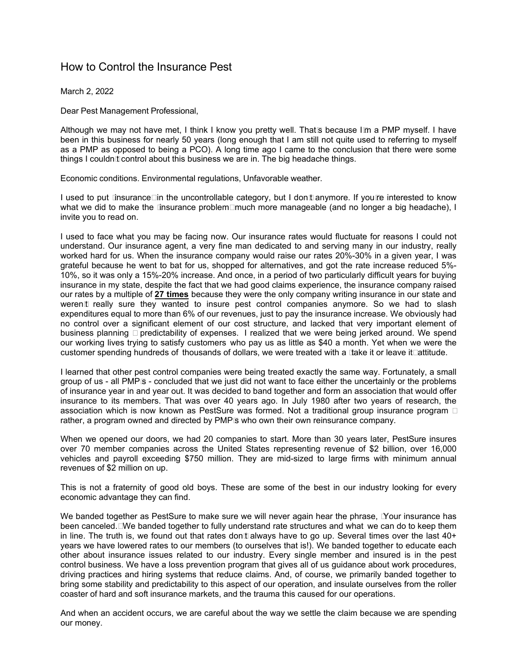## How to Control the Insurance Pest

March 2, 2022

Dear Pest Management Professional,

Although we may not have met, I think I know you pretty well. That's because I'm a PMP myself. I have been in this business for nearly 50 years (long enough that I am still not quite used to referring to myself as a PMP as opposed to being a PCO). A long time ago I came to the conclusion that there were some things I couldn't control about this business we are in. The big headache things.

Economic conditions. Environmental regulations, Unfavorable weather.

I used to put "insurance" in the uncontrollable category, but I don't anymore. If you're interested to know what we did to make the "insurance problem" much more manageable (and no longer a big headache), I invite you to read on.

I used to face what you may be facing now. Our insurance rates would fluctuate for reasons I could not understand. Our insurance agent, a very fine man dedicated to and serving many in our industry, really worked hard for us. When the insurance company would raise our rates 20%-30% in a given year, I was grateful because he went to bat for us, shopped for alternatives, and got the rate increase reduced 5%- 10%, so it was only a 15%-20% increase. And once, in a period of two particularly difficult years for buying insurance in my state, despite the fact that we had good claims experience, the insurance company raised our rates by a multiple of **27 times** because they were the only company writing insurance in our state and weren't really sure they wanted to insure pest control companies anymore. So we had to slash expenditures equal to more than 6% of our revenues, just to pay the insurance increase. We obviously had no control over a significant element of our cost structure, and lacked that very important element of business planning – predictability of expenses. I realized that we were being jerked around. We spend our working lives trying to satisfy customers who pay us as little as \$40 a month. Yet when we were the customer spending hundreds of thousands of dollars, we were treated with a "take it or leave it" attitude.

I learned that other pest control companies were being treated exactly the same way. Fortunately, a small group of us - all PMP's - concluded that we just did not want to face either the uncertainly or the problems of insurance year in and year out. It was decided to band together and form an association that would offer insurance to its members. That was over 40 years ago. In July 1980 after two years of research, the association which is now known as PestSure was formed. Not a traditional group insurance program – rather, a program owned and directed by PMP's who own their own reinsurance company.

When we opened our doors, we had 20 companies to start. More than 30 years later, PestSure insures over 70 member companies across the United States representing revenue of \$2 billion, over 16,000 vehicles and payroll exceeding \$750 million. They are mid-sized to large firms with minimum annual revenues of \$2 million on up.

This is not a fraternity of good old boys. These are some of the best in our industry looking for every economic advantage they can find.

We banded together as PestSure to make sure we will never again hear the phrase, "Your insurance has been canceled." We banded together to fully understand rate structures and what we can do to keep them in line. The truth is, we found out that rates don't always have to go up. Several times over the last 40+ years we have lowered rates to our members (to ourselves that is!). We banded together to educate each other about insurance issues related to our industry. Every single member and insured is in the pest control business. We have a loss prevention program that gives all of us guidance about work procedures, driving practices and hiring systems that reduce claims. And, of course, we primarily banded together to bring some stability and predictability to this aspect of our operation, and insulate ourselves from the roller coaster of hard and soft insurance markets, and the trauma this caused for our operations.

And when an accident occurs, we are careful about the way we settle the claim because we are spending our money.